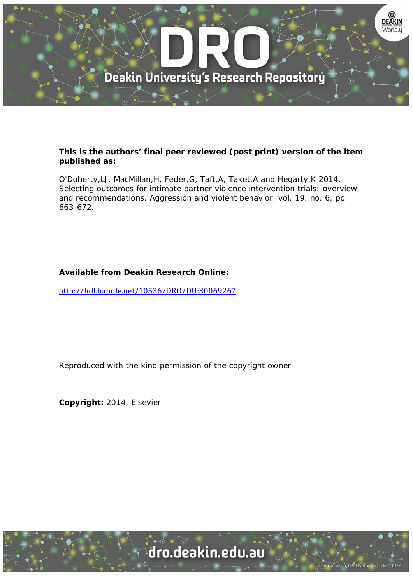

## **This is the authors' final peer reviewed (post print) version of the item published as:**

O'Doherty,LJ, MacMillan,H, Feder,G, Taft,A, Taket,A and Hegarty,K 2014, Selecting outcomes for intimate partner violence intervention trials: overview and recommendations, Aggression and violent behavior, vol. 19, no. 6, pp. 663-672.

# **Available from Deakin Research Online:**

http://hdl.handle.net/10536/DRO/DU:30069267

Reproduced with the kind permission of the copyright owner

**Copyright:** 2014, Elsevier

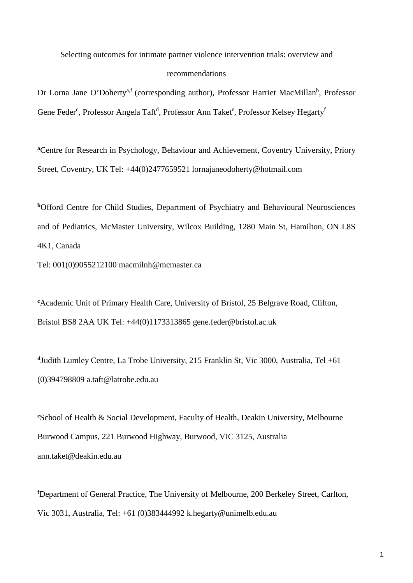Selecting outcomes for intimate partner violence intervention trials: overview and recommendations

Dr Lorna Jane O'Doherty<sup>a,f</sup> (corresponding author), Professor Harriet MacMillan<sup>b</sup>, Professor Gene Feder<sup>c</sup>, Professor Angela Taft<sup>d</sup>, Professor Ann Taket<sup>e</sup>, Professor Kelsey Hegarty<sup>t</sup>

**<sup>a</sup>**Centre for Research in Psychology, Behaviour and Achievement, Coventry University, Priory Street, Coventry, UK Tel: +44(0)2477659521 lornajaneodoherty@hotmail.com

**b**Offord Centre for Child Studies, Department of Psychiatry and Behavioural Neurosciences and of Pediatrics, McMaster University, Wilcox Building, 1280 Main St, Hamilton, ON L8S 4K1, Canada

Tel: 001(0)9055212100 macmilnh@mcmaster.ca

**c** Academic Unit of Primary Health Care, University of Bristol, 25 Belgrave Road, Clifton, Bristol BS8 2AA UK Tel: +44(0)1173313865 gene.feder@bristol.ac.uk

**<sup>d</sup>**Judith Lumley Centre, La Trobe University, 215 Franklin St, Vic 3000, Australia, Tel +61 (0)394798809 a.taft@latrobe.edu.au

**e** School of Health & Social Development, Faculty of Health, Deakin University, Melbourne Burwood Campus, 221 Burwood Highway, Burwood, VIC 3125, Australia ann.taket@deakin.edu.au

**f** Department of General Practice, The University of Melbourne, 200 Berkeley Street, Carlton, Vic 3031, Australia, Tel: +61 (0)383444992 k.hegarty@unimelb.edu.au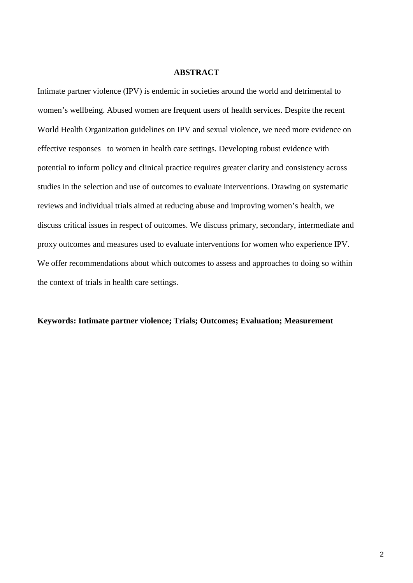## **ABSTRACT**

Intimate partner violence (IPV) is endemic in societies around the world and detrimental to women's wellbeing. Abused women are frequent users of health services. Despite the recent World Health Organization guidelines on IPV and sexual violence, we need more evidence on effective responses to women in health care settings. Developing robust evidence with potential to inform policy and clinical practice requires greater clarity and consistency across studies in the selection and use of outcomes to evaluate interventions. Drawing on systematic reviews and individual trials aimed at reducing abuse and improving women's health, we discuss critical issues in respect of outcomes. We discuss primary, secondary, intermediate and proxy outcomes and measures used to evaluate interventions for women who experience IPV. We offer recommendations about which outcomes to assess and approaches to doing so within the context of trials in health care settings.

### **Keywords: Intimate partner violence; Trials; Outcomes; Evaluation; Measurement**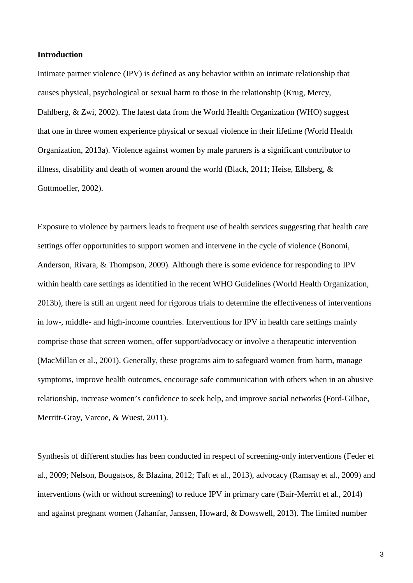### **Introduction**

Intimate partner violence (IPV) is defined as any behavior within an intimate relationship that causes physical, psychological or sexual harm to those in the relationship (Krug, Mercy, Dahlberg, & Zwi, 2002). The latest data from the World Health Organization (WHO) suggest that one in three women experience physical or sexual violence in their lifetime (World Health Organization, 2013a). Violence against women by male partners is a significant contributor to illness, disability and death of women around the world (Black, 2011; Heise, Ellsberg, & Gottmoeller, 2002).

Exposure to violence by partners leads to frequent use of health services suggesting that health care settings offer opportunities to support women and intervene in the cycle of violence (Bonomi, Anderson, Rivara, & Thompson, 2009). Although there is some evidence for responding to IPV within health care settings as identified in the recent WHO Guidelines (World Health Organization, 2013b), there is still an urgent need for rigorous trials to determine the effectiveness of interventions in low-, middle- and high-income countries. Interventions for IPV in health care settings mainly comprise those that screen women, offer support/advocacy or involve a therapeutic intervention (MacMillan et al., 2001). Generally, these programs aim to safeguard women from harm, manage symptoms, improve health outcomes, encourage safe communication with others when in an abusive relationship, increase women's confidence to seek help, and improve social networks (Ford-Gilboe, Merritt-Gray, Varcoe, & Wuest, 2011).

Synthesis of different studies has been conducted in respect of screening-only interventions (Feder et al., 2009; Nelson, Bougatsos, & Blazina, 2012; Taft et al., 2013), advocacy (Ramsay et al., 2009) and interventions (with or without screening) to reduce IPV in primary care (Bair-Merritt et al., 2014) and against pregnant women (Jahanfar, Janssen, Howard, & Dowswell, 2013). The limited number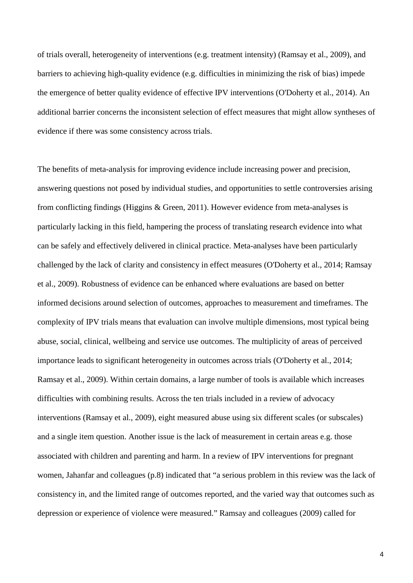of trials overall, heterogeneity of interventions (e.g. treatment intensity) (Ramsay et al., 2009), and barriers to achieving high-quality evidence (e.g. difficulties in minimizing the risk of bias) impede the emergence of better quality evidence of effective IPV interventions (O'Doherty et al., 2014). An additional barrier concerns the inconsistent selection of effect measures that might allow syntheses of evidence if there was some consistency across trials.

The benefits of meta-analysis for improving evidence include increasing power and precision, answering questions not posed by individual studies, and opportunities to settle controversies arising from conflicting findings (Higgins & Green, 2011). However evidence from meta-analyses is particularly lacking in this field, hampering the process of translating research evidence into what can be safely and effectively delivered in clinical practice. Meta-analyses have been particularly challenged by the lack of clarity and consistency in effect measures (O'Doherty et al., 2014; Ramsay et al., 2009). Robustness of evidence can be enhanced where evaluations are based on better informed decisions around selection of outcomes, approaches to measurement and timeframes. The complexity of IPV trials means that evaluation can involve multiple dimensions, most typical being abuse, social, clinical, wellbeing and service use outcomes. The multiplicity of areas of perceived importance leads to significant heterogeneity in outcomes across trials (O'Doherty et al., 2014; Ramsay et al., 2009). Within certain domains, a large number of tools is available which increases difficulties with combining results. Across the ten trials included in a review of advocacy interventions (Ramsay et al., 2009), eight measured abuse using six different scales (or subscales) and a single item question. Another issue is the lack of measurement in certain areas e.g. those associated with children and parenting and harm. In a review of IPV interventions for pregnant women, Jahanfar and colleagues (p.8) indicated that "a serious problem in this review was the lack of consistency in, and the limited range of outcomes reported, and the varied way that outcomes such as depression or experience of violence were measured." Ramsay and colleagues (2009) called for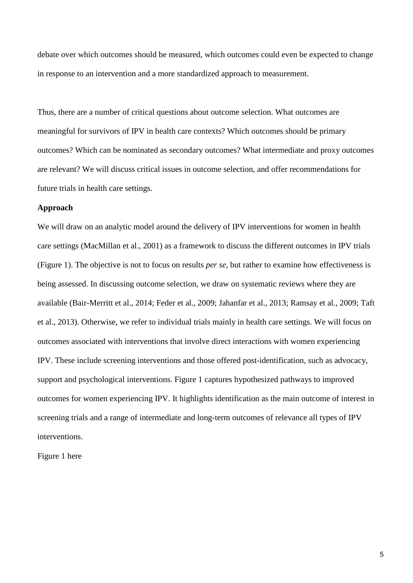debate over which outcomes should be measured, which outcomes could even be expected to change in response to an intervention and a more standardized approach to measurement.

Thus, there are a number of critical questions about outcome selection. What outcomes are meaningful for survivors of IPV in health care contexts? Which outcomes should be primary outcomes? Which can be nominated as secondary outcomes? What intermediate and proxy outcomes are relevant? We will discuss critical issues in outcome selection, and offer recommendations for future trials in health care settings.

## **Approach**

We will draw on an analytic model around the delivery of IPV interventions for women in health care settings (MacMillan et al., 2001) as a framework to discuss the different outcomes in IPV trials (Figure 1). The objective is not to focus on results *per se*, but rather to examine how effectiveness is being assessed. In discussing outcome selection, we draw on systematic reviews where they are available (Bair-Merritt et al., 2014; Feder et al., 2009; Jahanfar et al., 2013; Ramsay et al., 2009; Taft et al., 2013). Otherwise, we refer to individual trials mainly in health care settings. We will focus on outcomes associated with interventions that involve direct interactions with women experiencing IPV. These include screening interventions and those offered post-identification, such as advocacy, support and psychological interventions. Figure 1 captures hypothesized pathways to improved outcomes for women experiencing IPV. It highlights identification as the main outcome of interest in screening trials and a range of intermediate and long-term outcomes of relevance all types of IPV interventions.

Figure 1 here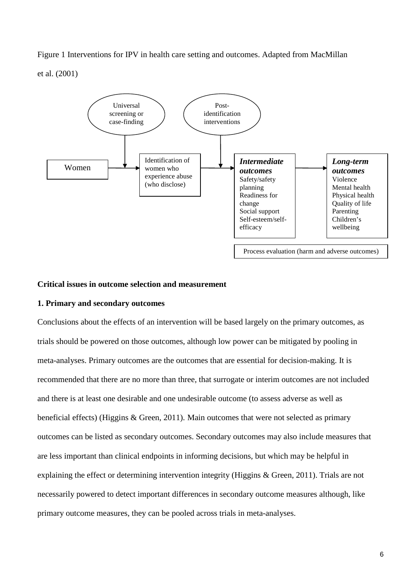Figure 1 Interventions for IPV in health care setting and outcomes. Adapted from MacMillan et al. (2001)



### **Critical issues in outcome selection and measurement**

### **1. Primary and secondary outcomes**

Conclusions about the effects of an intervention will be based largely on the primary outcomes, as trials should be powered on those outcomes, although low power can be mitigated by pooling in meta-analyses. Primary outcomes are the outcomes that are essential for decision-making. It is recommended that there are no more than three, that surrogate or interim outcomes are not included and there is at least one desirable and one undesirable outcome (to assess adverse as well as beneficial effects) (Higgins & Green, 2011). Main outcomes that were not selected as primary outcomes can be listed as secondary outcomes. Secondary outcomes may also include measures that are less important than clinical endpoints in informing decisions, but which may be helpful in explaining the effect or determining intervention integrity (Higgins & Green, 2011). Trials are not necessarily powered to detect important differences in secondary outcome measures although, like primary outcome measures, they can be pooled across trials in meta-analyses.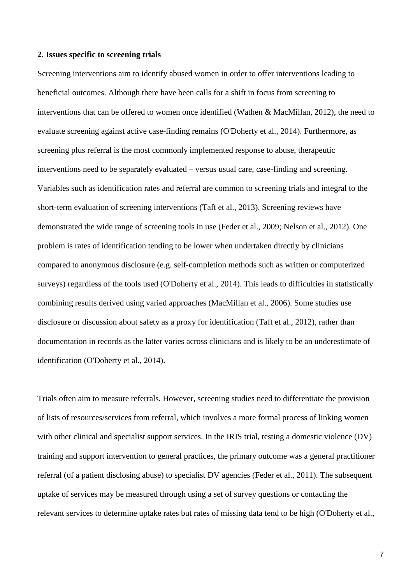### **2. Issues specific to screening trials**

Screening interventions aim to identify abused women in order to offer interventions leading to beneficial outcomes. Although there have been calls for a shift in focus from screening to interventions that can be offered to women once identified (Wathen & MacMillan, 2012), the need to evaluate screening against active case-finding remains (O'Doherty et al., 2014). Furthermore, as screening plus referral is the most commonly implemented response to abuse, therapeutic interventions need to be separately evaluated – versus usual care, case-finding and screening. Variables such as identification rates and referral are common to screening trials and integral to the short-term evaluation of screening interventions (Taft et al., 2013). Screening reviews have demonstrated the wide range of screening tools in use (Feder et al., 2009; Nelson et al., 2012). One problem is rates of identification tending to be lower when undertaken directly by clinicians compared to anonymous disclosure (e.g. self-completion methods such as written or computerized surveys) regardless of the tools used (O'Doherty et al., 2014). This leads to difficulties in statistically combining results derived using varied approaches (MacMillan et al., 2006). Some studies use disclosure or discussion about safety as a proxy for identification (Taft et al., 2012), rather than documentation in records as the latter varies across clinicians and is likely to be an underestimate of identification (O'Doherty et al., 2014).

Trials often aim to measure referrals. However, screening studies need to differentiate the provision of lists of resources/services from referral, which involves a more formal process of linking women with other clinical and specialist support services. In the IRIS trial, testing a domestic violence (DV) training and support intervention to general practices, the primary outcome was a general practitioner referral (of a patient disclosing abuse) to specialist DV agencies (Feder et al., 2011). The subsequent uptake of services may be measured through using a set of survey questions or contacting the relevant services to determine uptake rates but rates of missing data tend to be high (O'Doherty et al.,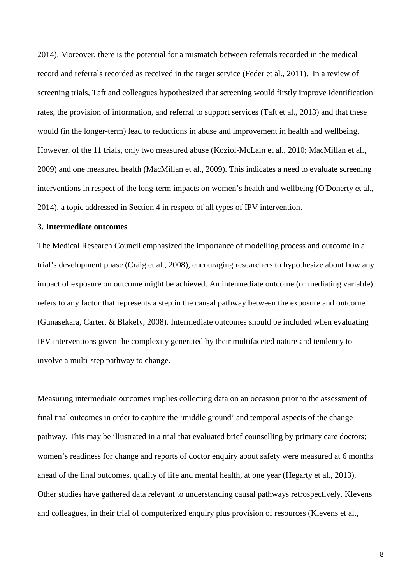2014). Moreover, there is the potential for a mismatch between referrals recorded in the medical record and referrals recorded as received in the target service (Feder et al., 2011). In a review of screening trials, Taft and colleagues hypothesized that screening would firstly improve identification rates, the provision of information, and referral to support services (Taft et al., 2013) and that these would (in the longer-term) lead to reductions in abuse and improvement in health and wellbeing. However, of the 11 trials, only two measured abuse (Koziol-McLain et al., 2010; MacMillan et al., 2009) and one measured health (MacMillan et al., 2009). This indicates a need to evaluate screening interventions in respect of the long-term impacts on women's health and wellbeing (O'Doherty et al., 2014), a topic addressed in Section 4 in respect of all types of IPV intervention.

## **3. Intermediate outcomes**

The Medical Research Council emphasized the importance of modelling process and outcome in a trial's development phase (Craig et al., 2008), encouraging researchers to hypothesize about how any impact of exposure on outcome might be achieved. An intermediate outcome (or mediating variable) refers to any factor that represents a step in the causal pathway between the exposure and outcome (Gunasekara, Carter, & Blakely, 2008). Intermediate outcomes should be included when evaluating IPV interventions given the complexity generated by their multifaceted nature and tendency to involve a multi-step pathway to change.

Measuring intermediate outcomes implies collecting data on an occasion prior to the assessment of final trial outcomes in order to capture the 'middle ground' and temporal aspects of the change pathway. This may be illustrated in a trial that evaluated brief counselling by primary care doctors; women's readiness for change and reports of doctor enquiry about safety were measured at 6 months ahead of the final outcomes, quality of life and mental health, at one year (Hegarty et al., 2013). Other studies have gathered data relevant to understanding causal pathways retrospectively. Klevens and colleagues, in their trial of computerized enquiry plus provision of resources (Klevens et al.,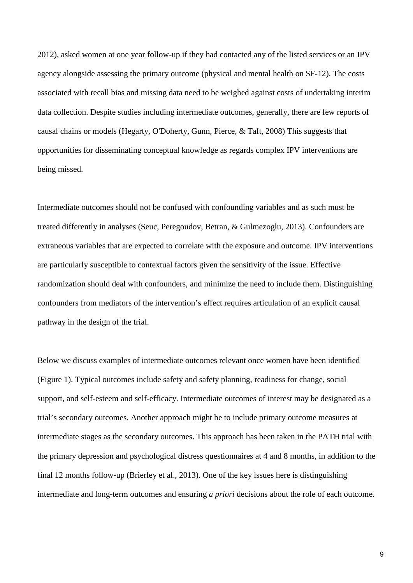2012), asked women at one year follow-up if they had contacted any of the listed services or an IPV agency alongside assessing the primary outcome (physical and mental health on SF-12). The costs associated with recall bias and missing data need to be weighed against costs of undertaking interim data collection. Despite studies including intermediate outcomes, generally, there are few reports of causal chains or models (Hegarty, O'Doherty, Gunn, Pierce, & Taft, 2008) This suggests that opportunities for disseminating conceptual knowledge as regards complex IPV interventions are being missed.

Intermediate outcomes should not be confused with confounding variables and as such must be treated differently in analyses (Seuc, Peregoudov, Betran, & Gulmezoglu, 2013). Confounders are extraneous variables that are expected to correlate with the exposure and outcome. IPV interventions are particularly susceptible to contextual factors given the sensitivity of the issue. Effective randomization should deal with confounders, and minimize the need to include them. Distinguishing confounders from mediators of the intervention's effect requires articulation of an explicit causal pathway in the design of the trial.

Below we discuss examples of intermediate outcomes relevant once women have been identified (Figure 1). Typical outcomes include safety and safety planning, readiness for change, social support, and self-esteem and self-efficacy. Intermediate outcomes of interest may be designated as a trial's secondary outcomes. Another approach might be to include primary outcome measures at intermediate stages as the secondary outcomes. This approach has been taken in the PATH trial with the primary depression and psychological distress questionnaires at 4 and 8 months, in addition to the final 12 months follow-up (Brierley et al., 2013). One of the key issues here is distinguishing intermediate and long-term outcomes and ensuring *a priori* decisions about the role of each outcome.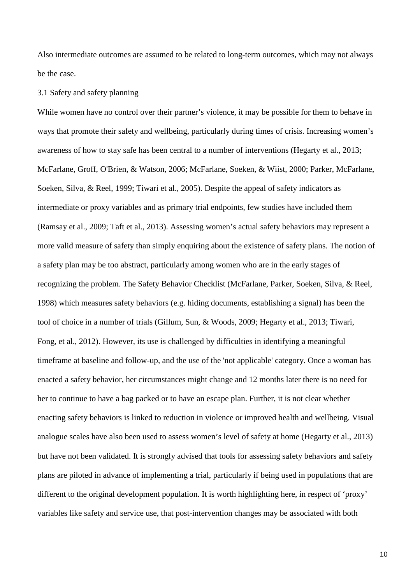Also intermediate outcomes are assumed to be related to long-term outcomes, which may not always be the case.

#### 3.1 Safety and safety planning

While women have no control over their partner's violence, it may be possible for them to behave in ways that promote their safety and wellbeing, particularly during times of crisis. Increasing women's awareness of how to stay safe has been central to a number of interventions (Hegarty et al., 2013; McFarlane, Groff, O'Brien, & Watson, 2006; McFarlane, Soeken, & Wiist, 2000; Parker, McFarlane, Soeken, Silva, & Reel, 1999; Tiwari et al., 2005). Despite the appeal of safety indicators as intermediate or proxy variables and as primary trial endpoints, few studies have included them (Ramsay et al., 2009; Taft et al., 2013). Assessing women's actual safety behaviors may represent a more valid measure of safety than simply enquiring about the existence of safety plans. The notion of a safety plan may be too abstract, particularly among women who are in the early stages of recognizing the problem. The Safety Behavior Checklist (McFarlane, Parker, Soeken, Silva, & Reel, 1998) which measures safety behaviors (e.g. hiding documents, establishing a signal) has been the tool of choice in a number of trials (Gillum, Sun, & Woods, 2009; Hegarty et al., 2013; Tiwari, Fong, et al., 2012). However, its use is challenged by difficulties in identifying a meaningful timeframe at baseline and follow-up, and the use of the 'not applicable' category. Once a woman has enacted a safety behavior, her circumstances might change and 12 months later there is no need for her to continue to have a bag packed or to have an escape plan. Further, it is not clear whether enacting safety behaviors is linked to reduction in violence or improved health and wellbeing. Visual analogue scales have also been used to assess women's level of safety at home (Hegarty et al., 2013) but have not been validated. It is strongly advised that tools for assessing safety behaviors and safety plans are piloted in advance of implementing a trial, particularly if being used in populations that are different to the original development population. It is worth highlighting here, in respect of 'proxy' variables like safety and service use, that post-intervention changes may be associated with both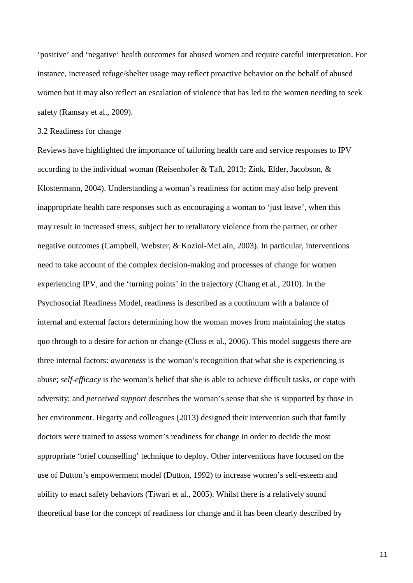'positive' and 'negative' health outcomes for abused women and require careful interpretation. For instance, increased refuge/shelter usage may reflect proactive behavior on the behalf of abused women but it may also reflect an escalation of violence that has led to the women needing to seek safety (Ramsay et al., 2009).

### 3.2 Readiness for change

Reviews have highlighted the importance of tailoring health care and service responses to IPV according to the individual woman (Reisenhofer & Taft, 2013; Zink, Elder, Jacobson, & Klostermann, 2004). Understanding a woman's readiness for action may also help prevent inappropriate health care responses such as encouraging a woman to 'just leave', when this may result in increased stress, subject her to retaliatory violence from the partner, or other negative outcomes (Campbell, Webster, & Koziol-McLain, 2003). In particular, interventions need to take account of the complex decision-making and processes of change for women experiencing IPV, and the 'turning points' in the trajectory (Chang et al., 2010). In the Psychosocial Readiness Model, readiness is described as a continuum with a balance of internal and external factors determining how the woman moves from maintaining the status quo through to a desire for action or change (Cluss et al., 2006). This model suggests there are three internal factors: *awareness* is the woman's recognition that what she is experiencing is abuse; *self-efficacy* is the woman's belief that she is able to achieve difficult tasks, or cope with adversity; and *perceived support* describes the woman's sense that she is supported by those in her environment. Hegarty and colleagues (2013) designed their intervention such that family doctors were trained to assess women's readiness for change in order to decide the most appropriate 'brief counselling' technique to deploy. Other interventions have focused on the use of Dutton's empowerment model (Dutton, 1992) to increase women's self-esteem and ability to enact safety behaviors (Tiwari et al., 2005). Whilst there is a relatively sound theoretical base for the concept of readiness for change and it has been clearly described by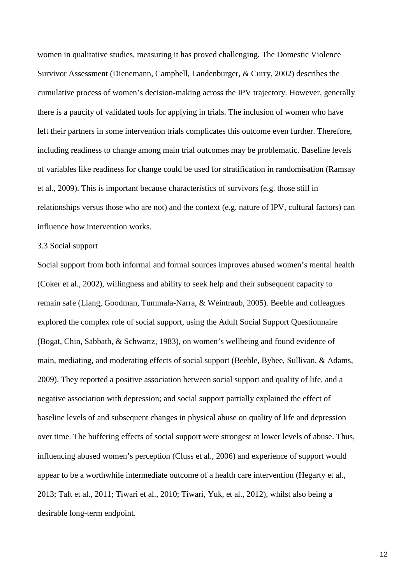women in qualitative studies, measuring it has proved challenging. The Domestic Violence Survivor Assessment (Dienemann, Campbell, Landenburger, & Curry, 2002) describes the cumulative process of women's decision-making across the IPV trajectory. However, generally there is a paucity of validated tools for applying in trials. The inclusion of women who have left their partners in some intervention trials complicates this outcome even further. Therefore, including readiness to change among main trial outcomes may be problematic. Baseline levels of variables like readiness for change could be used for stratification in randomisation (Ramsay et al., 2009). This is important because characteristics of survivors (e.g. those still in relationships versus those who are not) and the context (e.g. nature of IPV, cultural factors) can influence how intervention works.

## 3.3 Social support

Social support from both informal and formal sources improves abused women's mental health (Coker et al., 2002), willingness and ability to seek help and their subsequent capacity to remain safe (Liang, Goodman, Tummala-Narra, & Weintraub, 2005). Beeble and colleagues explored the complex role of social support, using the Adult Social Support Questionnaire (Bogat, Chin, Sabbath, & Schwartz, 1983), on women's wellbeing and found evidence of main, mediating, and moderating effects of social support (Beeble, Bybee, Sullivan, & Adams, 2009). They reported a positive association between social support and quality of life, and a negative association with depression; and social support partially explained the effect of baseline levels of and subsequent changes in physical abuse on quality of life and depression over time. The buffering effects of social support were strongest at lower levels of abuse. Thus, influencing abused women's perception (Cluss et al., 2006) and experience of support would appear to be a worthwhile intermediate outcome of a health care intervention (Hegarty et al., 2013; Taft et al., 2011; Tiwari et al., 2010; Tiwari, Yuk, et al., 2012), whilst also being a desirable long-term endpoint.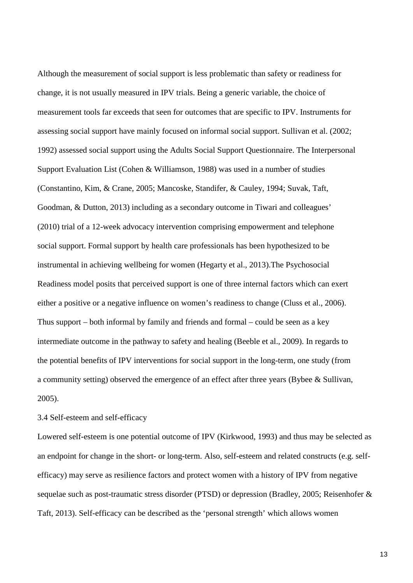Although the measurement of social support is less problematic than safety or readiness for change, it is not usually measured in IPV trials. Being a generic variable, the choice of measurement tools far exceeds that seen for outcomes that are specific to IPV. Instruments for assessing social support have mainly focused on informal social support. Sullivan et al. (2002; 1992) assessed social support using the Adults Social Support Questionnaire. The Interpersonal Support Evaluation List (Cohen & Williamson, 1988) was used in a number of studies (Constantino, Kim, & Crane, 2005; Mancoske, Standifer, & Cauley, 1994; Suvak, Taft, Goodman, & Dutton, 2013) including as a secondary outcome in Tiwari and colleagues' (2010) trial of a 12-week advocacy intervention comprising empowerment and telephone social support. Formal support by health care professionals has been hypothesized to be instrumental in achieving wellbeing for women (Hegarty et al., 2013).The Psychosocial Readiness model posits that perceived support is one of three internal factors which can exert either a positive or a negative influence on women's readiness to change (Cluss et al., 2006). Thus support – both informal by family and friends and formal – could be seen as a key intermediate outcome in the pathway to safety and healing (Beeble et al., 2009). In regards to the potential benefits of IPV interventions for social support in the long-term, one study (from a community setting) observed the emergence of an effect after three years (Bybee & Sullivan, 2005).

3.4 Self-esteem and self-efficacy

Lowered self-esteem is one potential outcome of IPV (Kirkwood, 1993) and thus may be selected as an endpoint for change in the short- or long-term. Also, self-esteem and related constructs (e.g. selfefficacy) may serve as resilience factors and protect women with a history of IPV from negative sequelae such as post-traumatic stress disorder (PTSD) or depression (Bradley, 2005; Reisenhofer & Taft, 2013). Self-efficacy can be described as the 'personal strength' which allows women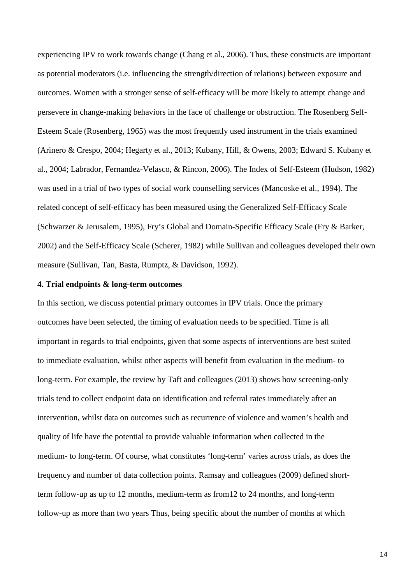experiencing IPV to work towards change (Chang et al., 2006). Thus, these constructs are important as potential moderators (i.e. influencing the strength/direction of relations) between exposure and outcomes. Women with a stronger sense of self-efficacy will be more likely to attempt change and persevere in change-making behaviors in the face of challenge or obstruction. The Rosenberg Self-Esteem Scale (Rosenberg, 1965) was the most frequently used instrument in the trials examined (Arinero & Crespo, 2004; Hegarty et al., 2013; Kubany, Hill, & Owens, 2003; Edward S. Kubany et al., 2004; Labrador, Fernandez-Velasco, & Rincon, 2006). The Index of Self-Esteem (Hudson, 1982) was used in a trial of two types of social work counselling services (Mancoske et al., 1994). The related concept of self-efficacy has been measured using the Generalized Self-Efficacy Scale (Schwarzer & Jerusalem, 1995), Fry's Global and Domain-Specific Efficacy Scale (Fry & Barker, 2002) and the Self-Efficacy Scale (Scherer, 1982) while Sullivan and colleagues developed their own measure (Sullivan, Tan, Basta, Rumptz, & Davidson, 1992).

## **4. Trial endpoints & long-term outcomes**

In this section, we discuss potential primary outcomes in IPV trials. Once the primary outcomes have been selected, the timing of evaluation needs to be specified. Time is all important in regards to trial endpoints, given that some aspects of interventions are best suited to immediate evaluation, whilst other aspects will benefit from evaluation in the medium- to long-term. For example, the review by Taft and colleagues (2013) shows how screening-only trials tend to collect endpoint data on identification and referral rates immediately after an intervention, whilst data on outcomes such as recurrence of violence and women's health and quality of life have the potential to provide valuable information when collected in the medium- to long-term. Of course, what constitutes 'long-term' varies across trials, as does the frequency and number of data collection points. Ramsay and colleagues (2009) defined shortterm follow-up as up to 12 months, medium-term as from12 to 24 months, and long-term follow-up as more than two years Thus, being specific about the number of months at which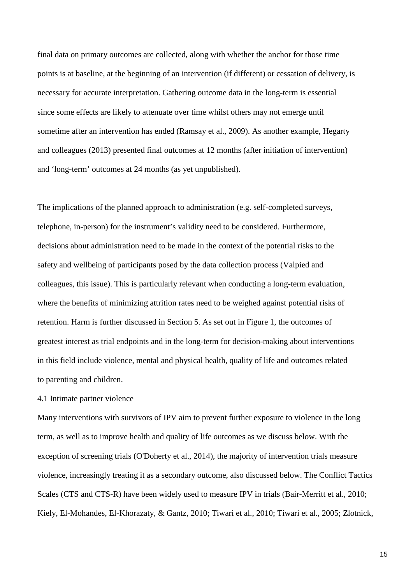final data on primary outcomes are collected, along with whether the anchor for those time points is at baseline, at the beginning of an intervention (if different) or cessation of delivery, is necessary for accurate interpretation. Gathering outcome data in the long-term is essential since some effects are likely to attenuate over time whilst others may not emerge until sometime after an intervention has ended (Ramsay et al., 2009). As another example, Hegarty and colleagues (2013) presented final outcomes at 12 months (after initiation of intervention) and 'long-term' outcomes at 24 months (as yet unpublished).

The implications of the planned approach to administration (e.g. self-completed surveys, telephone, in-person) for the instrument's validity need to be considered. Furthermore, decisions about administration need to be made in the context of the potential risks to the safety and wellbeing of participants posed by the data collection process (Valpied and colleagues, this issue). This is particularly relevant when conducting a long-term evaluation, where the benefits of minimizing attrition rates need to be weighed against potential risks of retention. Harm is further discussed in Section 5. As set out in Figure 1, the outcomes of greatest interest as trial endpoints and in the long-term for decision-making about interventions in this field include violence, mental and physical health, quality of life and outcomes related to parenting and children.

## 4.1 Intimate partner violence

Many interventions with survivors of IPV aim to prevent further exposure to violence in the long term, as well as to improve health and quality of life outcomes as we discuss below. With the exception of screening trials (O'Doherty et al., 2014), the majority of intervention trials measure violence, increasingly treating it as a secondary outcome, also discussed below. The Conflict Tactics Scales (CTS and CTS-R) have been widely used to measure IPV in trials (Bair-Merritt et al., 2010; Kiely, El-Mohandes, El-Khorazaty, & Gantz, 2010; Tiwari et al., 2010; Tiwari et al., 2005; Zlotnick,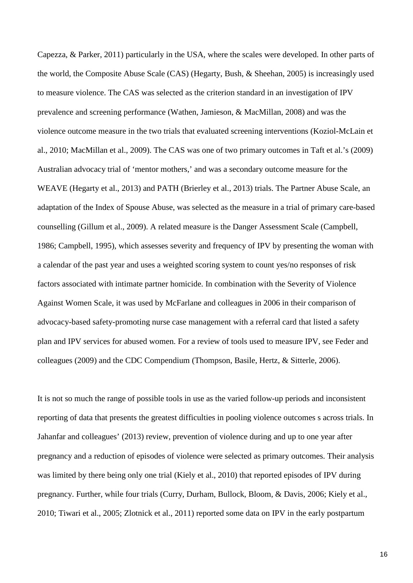Capezza, & Parker, 2011) particularly in the USA, where the scales were developed. In other parts of the world, the Composite Abuse Scale (CAS) (Hegarty, Bush, & Sheehan, 2005) is increasingly used to measure violence. The CAS was selected as the criterion standard in an investigation of IPV prevalence and screening performance (Wathen, Jamieson, & MacMillan, 2008) and was the violence outcome measure in the two trials that evaluated screening interventions (Koziol-McLain et al., 2010; MacMillan et al., 2009). The CAS was one of two primary outcomes in Taft et al.'s (2009) Australian advocacy trial of 'mentor mothers,' and was a secondary outcome measure for the WEAVE (Hegarty et al., 2013) and PATH (Brierley et al., 2013) trials. The Partner Abuse Scale, an adaptation of the Index of Spouse Abuse, was selected as the measure in a trial of primary care-based counselling (Gillum et al., 2009). A related measure is the Danger Assessment Scale (Campbell, 1986; Campbell, 1995), which assesses severity and frequency of IPV by presenting the woman with a calendar of the past year and uses a weighted scoring system to count yes/no responses of risk factors associated with intimate partner homicide. In combination with the Severity of Violence Against Women Scale, it was used by McFarlane and colleagues in 2006 in their comparison of advocacy-based safety-promoting nurse case management with a referral card that listed a safety plan and IPV services for abused women. For a review of tools used to measure IPV, see Feder and colleagues (2009) and the CDC Compendium (Thompson, Basile, Hertz, & Sitterle, 2006).

It is not so much the range of possible tools in use as the varied follow-up periods and inconsistent reporting of data that presents the greatest difficulties in pooling violence outcomes s across trials. In Jahanfar and colleagues' (2013) review, prevention of violence during and up to one year after pregnancy and a reduction of episodes of violence were selected as primary outcomes. Their analysis was limited by there being only one trial (Kiely et al., 2010) that reported episodes of IPV during pregnancy. Further, while four trials (Curry, Durham, Bullock, Bloom, & Davis, 2006; Kiely et al., 2010; Tiwari et al., 2005; Zlotnick et al., 2011) reported some data on IPV in the early postpartum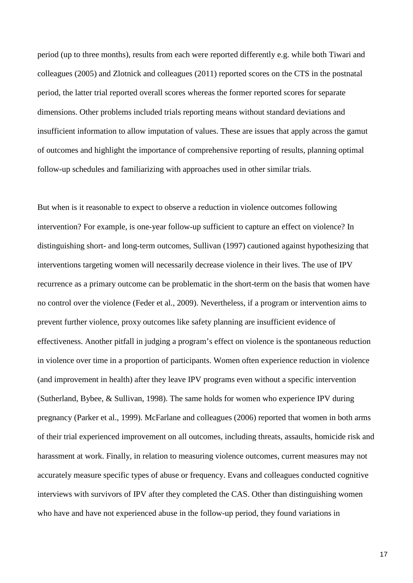period (up to three months), results from each were reported differently e.g. while both Tiwari and colleagues (2005) and Zlotnick and colleagues (2011) reported scores on the CTS in the postnatal period, the latter trial reported overall scores whereas the former reported scores for separate dimensions. Other problems included trials reporting means without standard deviations and insufficient information to allow imputation of values. These are issues that apply across the gamut of outcomes and highlight the importance of comprehensive reporting of results, planning optimal follow-up schedules and familiarizing with approaches used in other similar trials.

But when is it reasonable to expect to observe a reduction in violence outcomes following intervention? For example, is one-year follow-up sufficient to capture an effect on violence? In distinguishing short- and long-term outcomes, Sullivan (1997) cautioned against hypothesizing that interventions targeting women will necessarily decrease violence in their lives. The use of IPV recurrence as a primary outcome can be problematic in the short-term on the basis that women have no control over the violence (Feder et al., 2009). Nevertheless, if a program or intervention aims to prevent further violence, proxy outcomes like safety planning are insufficient evidence of effectiveness. Another pitfall in judging a program's effect on violence is the spontaneous reduction in violence over time in a proportion of participants. Women often experience reduction in violence (and improvement in health) after they leave IPV programs even without a specific intervention (Sutherland, Bybee, & Sullivan, 1998). The same holds for women who experience IPV during pregnancy (Parker et al., 1999). McFarlane and colleagues (2006) reported that women in both arms of their trial experienced improvement on all outcomes, including threats, assaults, homicide risk and harassment at work. Finally, in relation to measuring violence outcomes, current measures may not accurately measure specific types of abuse or frequency. Evans and colleagues conducted cognitive interviews with survivors of IPV after they completed the CAS. Other than distinguishing women who have and have not experienced abuse in the follow-up period, they found variations in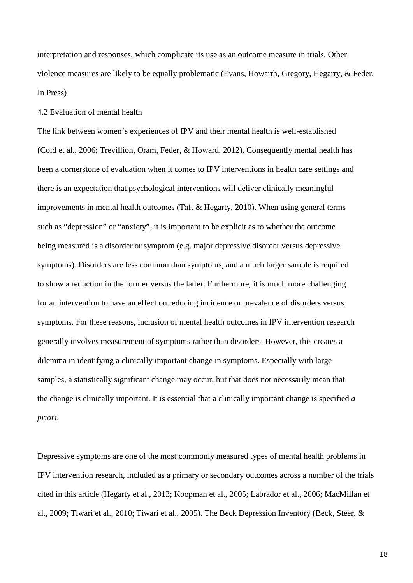interpretation and responses, which complicate its use as an outcome measure in trials. Other violence measures are likely to be equally problematic (Evans, Howarth, Gregory, Hegarty, & Feder, In Press)

## 4.2 Evaluation of mental health

The link between women's experiences of IPV and their mental health is well-established (Coid et al., 2006; Trevillion, Oram, Feder, & Howard, 2012). Consequently mental health has been a cornerstone of evaluation when it comes to IPV interventions in health care settings and there is an expectation that psychological interventions will deliver clinically meaningful improvements in mental health outcomes (Taft & Hegarty, 2010). When using general terms such as "depression" or "anxiety", it is important to be explicit as to whether the outcome being measured is a disorder or symptom (e.g. major depressive disorder versus depressive symptoms). Disorders are less common than symptoms, and a much larger sample is required to show a reduction in the former versus the latter. Furthermore, it is much more challenging for an intervention to have an effect on reducing incidence or prevalence of disorders versus symptoms. For these reasons, inclusion of mental health outcomes in IPV intervention research generally involves measurement of symptoms rather than disorders. However, this creates a dilemma in identifying a clinically important change in symptoms. Especially with large samples, a statistically significant change may occur, but that does not necessarily mean that the change is clinically important. It is essential that a clinically important change is specified *a priori*.

Depressive symptoms are one of the most commonly measured types of mental health problems in IPV intervention research, included as a primary or secondary outcomes across a number of the trials cited in this article (Hegarty et al., 2013; Koopman et al., 2005; Labrador et al., 2006; MacMillan et al., 2009; Tiwari et al., 2010; Tiwari et al., 2005). The Beck Depression Inventory (Beck, Steer, &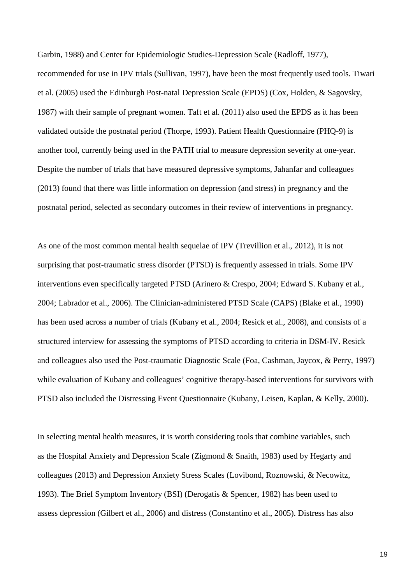Garbin, 1988) and Center for Epidemiologic Studies-Depression Scale (Radloff, 1977),

recommended for use in IPV trials (Sullivan, 1997), have been the most frequently used tools. Tiwari et al. (2005) used the Edinburgh Post-natal Depression Scale (EPDS) (Cox, Holden, & Sagovsky, 1987) with their sample of pregnant women. Taft et al. (2011) also used the EPDS as it has been validated outside the postnatal period (Thorpe, 1993). Patient Health Questionnaire (PHQ-9) is another tool, currently being used in the PATH trial to measure depression severity at one-year. Despite the number of trials that have measured depressive symptoms, Jahanfar and colleagues (2013) found that there was little information on depression (and stress) in pregnancy and the postnatal period, selected as secondary outcomes in their review of interventions in pregnancy.

As one of the most common mental health sequelae of IPV (Trevillion et al., 2012), it is not surprising that post-traumatic stress disorder (PTSD) is frequently assessed in trials. Some IPV interventions even specifically targeted PTSD (Arinero & Crespo, 2004; Edward S. Kubany et al., 2004; Labrador et al., 2006). The Clinician-administered PTSD Scale (CAPS) (Blake et al., 1990) has been used across a number of trials (Kubany et al., 2004; Resick et al., 2008), and consists of a structured interview for assessing the symptoms of PTSD according to criteria in DSM-IV. Resick and colleagues also used the Post-traumatic Diagnostic Scale (Foa, Cashman, Jaycox, & Perry, 1997) while evaluation of Kubany and colleagues' cognitive therapy-based interventions for survivors with PTSD also included the Distressing Event Questionnaire (Kubany, Leisen, Kaplan, & Kelly, 2000).

In selecting mental health measures, it is worth considering tools that combine variables, such as the Hospital Anxiety and Depression Scale (Zigmond & Snaith, 1983) used by Hegarty and colleagues (2013) and Depression Anxiety Stress Scales (Lovibond, Roznowski, & Necowitz, 1993). The Brief Symptom Inventory (BSI) (Derogatis & Spencer, 1982) has been used to assess depression (Gilbert et al., 2006) and distress (Constantino et al., 2005). Distress has also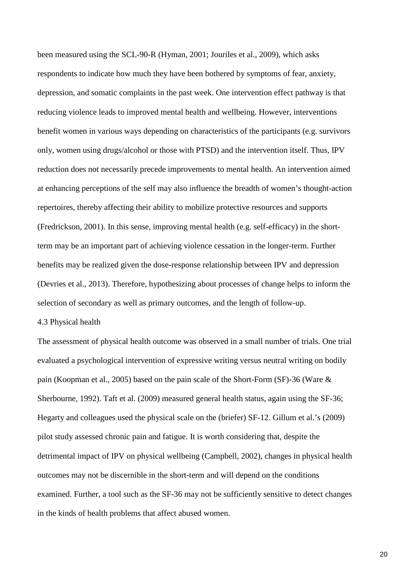been measured using the SCL-90-R (Hyman, 2001; Jouriles et al., 2009), which asks respondents to indicate how much they have been bothered by symptoms of fear, anxiety, depression, and somatic complaints in the past week. One intervention effect pathway is that reducing violence leads to improved mental health and wellbeing. However, interventions benefit women in various ways depending on characteristics of the participants (e.g. survivors only, women using drugs/alcohol or those with PTSD) and the intervention itself. Thus, IPV reduction does not necessarily precede improvements to mental health. An intervention aimed at enhancing perceptions of the self may also influence the breadth of women's thought-action repertoires, thereby affecting their ability to mobilize protective resources and supports (Fredrickson, 2001). In this sense, improving mental health (e.g. self-efficacy) in the shortterm may be an important part of achieving violence cessation in the longer-term. Further benefits may be realized given the dose-response relationship between IPV and depression (Devries et al., 2013). Therefore, hypothesizing about processes of change helps to inform the selection of secondary as well as primary outcomes, and the length of follow-up.

### 4.3 Physical health

The assessment of physical health outcome was observed in a small number of trials. One trial evaluated a psychological intervention of expressive writing versus neutral writing on bodily pain (Koopman et al., 2005) based on the pain scale of the Short-Form (SF)-36 (Ware & Sherbourne, 1992). Taft et al. (2009) measured general health status, again using the SF-36; Hegarty and colleagues used the physical scale on the (briefer) SF-12. Gillum et al.'s (2009) pilot study assessed chronic pain and fatigue. It is worth considering that, despite the detrimental impact of IPV on physical wellbeing (Campbell, 2002), changes in physical health outcomes may not be discernible in the short-term and will depend on the conditions examined. Further, a tool such as the SF-36 may not be sufficiently sensitive to detect changes in the kinds of health problems that affect abused women.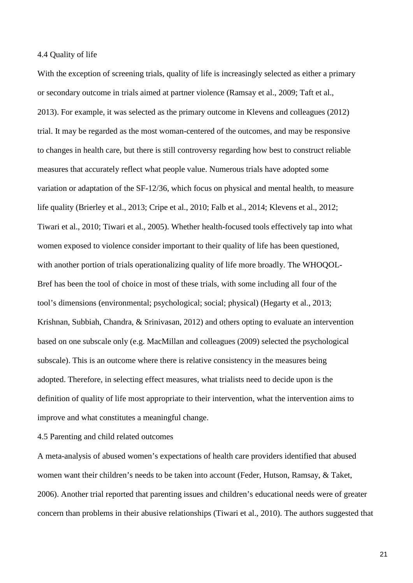### 4.4 Quality of life

With the exception of screening trials, quality of life is increasingly selected as either a primary or secondary outcome in trials aimed at partner violence (Ramsay et al., 2009; Taft et al., 2013). For example, it was selected as the primary outcome in Klevens and colleagues (2012) trial. It may be regarded as the most woman-centered of the outcomes, and may be responsive to changes in health care, but there is still controversy regarding how best to construct reliable measures that accurately reflect what people value. Numerous trials have adopted some variation or adaptation of the SF-12/36, which focus on physical and mental health, to measure life quality (Brierley et al., 2013; Cripe et al., 2010; Falb et al., 2014; Klevens et al., 2012; Tiwari et al., 2010; Tiwari et al., 2005). Whether health-focused tools effectively tap into what women exposed to violence consider important to their quality of life has been questioned, with another portion of trials operationalizing quality of life more broadly. The WHOQOL-Bref has been the tool of choice in most of these trials, with some including all four of the tool's dimensions (environmental; psychological; social; physical) (Hegarty et al., 2013; Krishnan, Subbiah, Chandra, & Srinivasan, 2012) and others opting to evaluate an intervention based on one subscale only (e.g. MacMillan and colleagues (2009) selected the psychological subscale). This is an outcome where there is relative consistency in the measures being adopted. Therefore, in selecting effect measures, what trialists need to decide upon is the definition of quality of life most appropriate to their intervention, what the intervention aims to improve and what constitutes a meaningful change.

4.5 Parenting and child related outcomes

A meta-analysis of abused women's expectations of health care providers identified that abused women want their children's needs to be taken into account (Feder, Hutson, Ramsay, & Taket, 2006). Another trial reported that parenting issues and children's educational needs were of greater concern than problems in their abusive relationships (Tiwari et al., 2010). The authors suggested that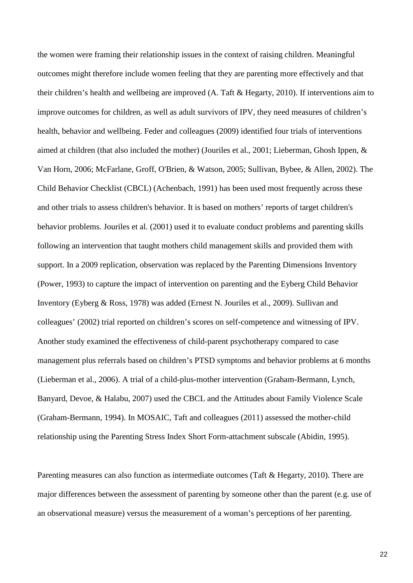the women were framing their relationship issues in the context of raising children. Meaningful outcomes might therefore include women feeling that they are parenting more effectively and that their children's health and wellbeing are improved (A. Taft & Hegarty, 2010). If interventions aim to improve outcomes for children, as well as adult survivors of IPV, they need measures of children's health, behavior and wellbeing. Feder and colleagues (2009) identified four trials of interventions aimed at children (that also included the mother) (Jouriles et al., 2001; Lieberman, Ghosh Ippen, & Van Horn, 2006; McFarlane, Groff, O'Brien, & Watson, 2005; Sullivan, Bybee, & Allen, 2002). The Child Behavior Checklist (CBCL) (Achenbach, 1991) has been used most frequently across these and other trials to assess children's behavior. It is based on mothers' reports of target children's behavior problems. Jouriles et al. (2001) used it to evaluate conduct problems and parenting skills following an intervention that taught mothers child management skills and provided them with support. In a 2009 replication, observation was replaced by the Parenting Dimensions Inventory (Power, 1993) to capture the impact of intervention on parenting and the Eyberg Child Behavior Inventory (Eyberg & Ross, 1978) was added (Ernest N. Jouriles et al., 2009). Sullivan and colleagues' (2002) trial reported on children's scores on self-competence and witnessing of IPV. Another study examined the effectiveness of child-parent psychotherapy compared to case management plus referrals based on children's PTSD symptoms and behavior problems at 6 months (Lieberman et al., 2006). A trial of a child-plus-mother intervention (Graham-Bermann, Lynch, Banyard, Devoe, & Halabu, 2007) used the CBCL and the Attitudes about Family Violence Scale (Graham-Bermann, 1994). In MOSAIC, Taft and colleagues (2011) assessed the mother-child relationship using the Parenting Stress Index Short Form-attachment subscale (Abidin, 1995).

Parenting measures can also function as intermediate outcomes (Taft & Hegarty, 2010). There are major differences between the assessment of parenting by someone other than the parent (e.g. use of an observational measure) versus the measurement of a woman's perceptions of her parenting.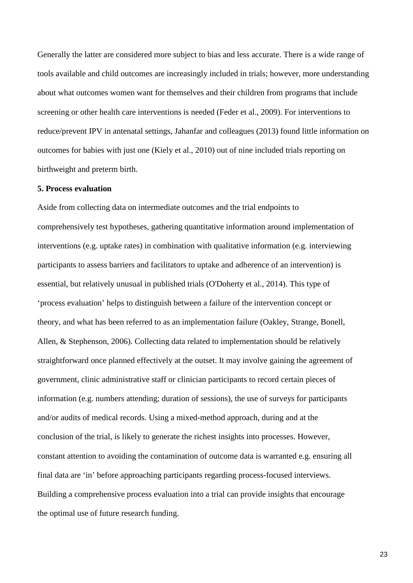Generally the latter are considered more subject to bias and less accurate. There is a wide range of tools available and child outcomes are increasingly included in trials; however, more understanding about what outcomes women want for themselves and their children from programs that include screening or other health care interventions is needed (Feder et al., 2009). For interventions to reduce/prevent IPV in antenatal settings, Jahanfar and colleagues (2013) found little information on outcomes for babies with just one (Kiely et al., 2010) out of nine included trials reporting on birthweight and preterm birth.

#### **5. Process evaluation**

Aside from collecting data on intermediate outcomes and the trial endpoints to comprehensively test hypotheses, gathering quantitative information around implementation of interventions (e.g. uptake rates) in combination with qualitative information (e.g. interviewing participants to assess barriers and facilitators to uptake and adherence of an intervention) is essential, but relatively unusual in published trials (O'Doherty et al., 2014). This type of 'process evaluation' helps to distinguish between a failure of the intervention concept or theory, and what has been referred to as an implementation failure (Oakley, Strange, Bonell, Allen, & Stephenson, 2006). Collecting data related to implementation should be relatively straightforward once planned effectively at the outset. It may involve gaining the agreement of government, clinic administrative staff or clinician participants to record certain pieces of information (e.g. numbers attending; duration of sessions), the use of surveys for participants and/or audits of medical records. Using a mixed-method approach, during and at the conclusion of the trial, is likely to generate the richest insights into processes. However, constant attention to avoiding the contamination of outcome data is warranted e.g. ensuring all final data are 'in' before approaching participants regarding process-focused interviews. Building a comprehensive process evaluation into a trial can provide insights that encourage the optimal use of future research funding.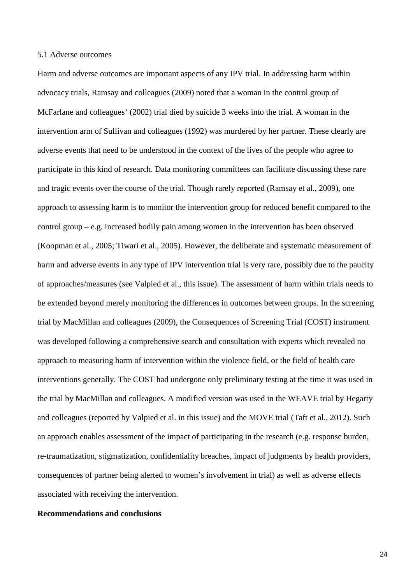### 5.1 Adverse outcomes

Harm and adverse outcomes are important aspects of any IPV trial. In addressing harm within advocacy trials, Ramsay and colleagues (2009) noted that a woman in the control group of McFarlane and colleagues' (2002) trial died by suicide 3 weeks into the trial. A woman in the intervention arm of Sullivan and colleagues (1992) was murdered by her partner. These clearly are adverse events that need to be understood in the context of the lives of the people who agree to participate in this kind of research. Data monitoring committees can facilitate discussing these rare and tragic events over the course of the trial. Though rarely reported (Ramsay et al., 2009), one approach to assessing harm is to monitor the intervention group for reduced benefit compared to the control group – e.g. increased bodily pain among women in the intervention has been observed (Koopman et al., 2005; Tiwari et al., 2005). However, the deliberate and systematic measurement of harm and adverse events in any type of IPV intervention trial is very rare, possibly due to the paucity of approaches/measures (see Valpied et al., this issue). The assessment of harm within trials needs to be extended beyond merely monitoring the differences in outcomes between groups. In the screening trial by MacMillan and colleagues (2009), the Consequences of Screening Trial (COST) instrument was developed following a comprehensive search and consultation with experts which revealed no approach to measuring harm of intervention within the violence field, or the field of health care interventions generally. The COST had undergone only preliminary testing at the time it was used in the trial by MacMillan and colleagues. A modified version was used in the WEAVE trial by Hegarty and colleagues (reported by Valpied et al. in this issue) and the MOVE trial (Taft et al., 2012). Such an approach enables assessment of the impact of participating in the research (e.g. response burden, re-traumatization, stigmatization, confidentiality breaches, impact of judgments by health providers, consequences of partner being alerted to women's involvement in trial) as well as adverse effects associated with receiving the intervention.

## **Recommendations and conclusions**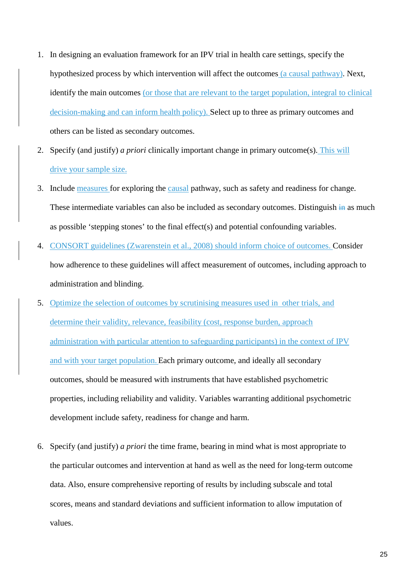- 1. In designing an evaluation framework for an IPV trial in health care settings, specify the hypothesized process by which intervention will affect the outcomes (a causal pathway). Next, identify the main outcomes (or those that are relevant to the target population, integral to clinical decision-making and can inform health policy). Select up to three as primary outcomes and others can be listed as secondary outcomes.
- 2. Specify (and justify) *a priori* clinically important change in primary outcome(s). This will drive your sample size.
- 3. Include measures for exploring the causal pathway, such as safety and readiness for change. These intermediate variables can also be included as secondary outcomes. Distinguish in as much as possible 'stepping stones' to the final effect(s) and potential confounding variables.
- 4. CONSORT guidelines (Zwarenstein et al., 2008) should inform choice of outcomes. Consider how adherence to these guidelines will affect measurement of outcomes, including approach to administration and blinding.
- 5. Optimize the selection of outcomes by scrutinising measures used in other trials, and determine their validity, relevance, feasibility (cost, response burden, approach administration with particular attention to safeguarding participants) in the context of IPV and with your target population. Each primary outcome, and ideally all secondary outcomes, should be measured with instruments that have established psychometric properties, including reliability and validity. Variables warranting additional psychometric development include safety, readiness for change and harm.
- 6. Specify (and justify) *a priori* the time frame, bearing in mind what is most appropriate to the particular outcomes and intervention at hand as well as the need for long-term outcome data. Also, ensure comprehensive reporting of results by including subscale and total scores, means and standard deviations and sufficient information to allow imputation of values.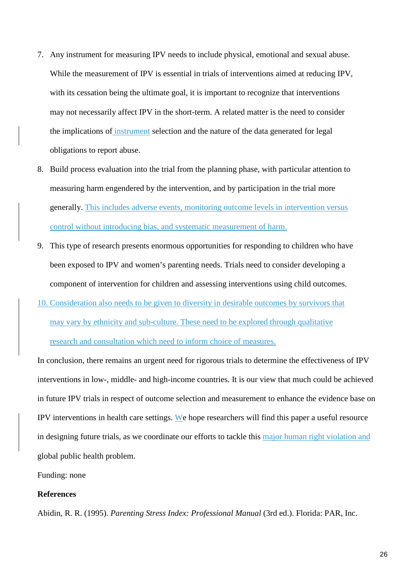- 7. Any instrument for measuring IPV needs to include physical, emotional and sexual abuse. While the measurement of IPV is essential in trials of interventions aimed at reducing IPV, with its cessation being the ultimate goal, it is important to recognize that interventions may not necessarily affect IPV in the short-term. A related matter is the need to consider the implications of instrument selection and the nature of the data generated for legal obligations to report abuse.
- 8. Build process evaluation into the trial from the planning phase, with particular attention to measuring harm engendered by the intervention, and by participation in the trial more generally. This includes adverse events, monitoring outcome levels in intervention versus control without introducing bias, and systematic measurement of harm.
- 9. This type of research presents enormous opportunities for responding to children who have been exposed to IPV and women's parenting needs. Trials need to consider developing a component of intervention for children and assessing interventions using child outcomes.
- 10. Consideration also needs to be given to diversity in desirable outcomes by survivors that may vary by ethnicity and sub-culture. These need to be explored through qualitative research and consultation which need to inform choice of measures.

In conclusion, there remains an urgent need for rigorous trials to determine the effectiveness of IPV interventions in low-, middle- and high-income countries. It is our view that much could be achieved in future IPV trials in respect of outcome selection and measurement to enhance the evidence base on IPV interventions in health care settings. We hope researchers will find this paper a useful resource in designing future trials, as we coordinate our efforts to tackle this major human right violation and global public health problem.

Funding: none

## **References**

Abidin, R. R. (1995). *Parenting Stress Index: Professional Manual* (3rd ed.). Florida: PAR, Inc.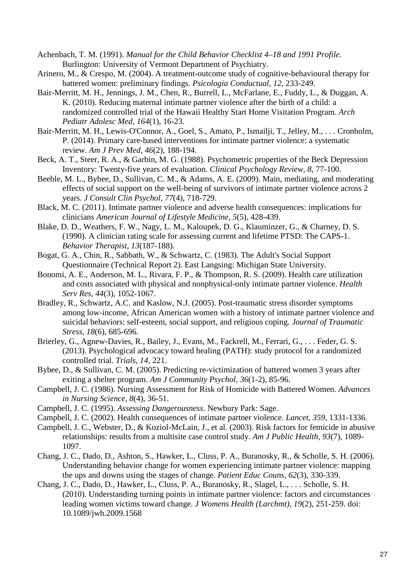Achenbach, T. M. (1991). *Manual for the Child Behavior Checklist 4–18 and 1991 Profile.* Burlington: University of Vermont Department of Psychiatry.

- Arinero, M., & Crespo, M. (2004). A treatment-outcome study of cognitive-behavioural therapy for battered women: preliminary findings. *Psicologia Conductual, 12*, 233-249.
- Bair-Merritt, M. H., Jennings, J. M., Chen, R., Burrell, L., McFarlane, E., Fuddy, L., & Duggan, A. K. (2010). Reducing maternal intimate partner violence after the birth of a child: a randomized controlled trial of the Hawaii Healthy Start Home Visitation Program. *Arch Pediatr Adolesc Med, 164*(1), 16-23.
- Bair-Merritt, M. H., Lewis-O'Connor, A., Goel, S., Amato, P., Ismailji, T., Jelley, M., . . . Cronholm, P. (2014). Primary care-based interventions for intimate partner violence: a systematic review. *Am J Prev Med, 46*(2), 188-194.
- Beck, A. T., Steer, R. A., & Garbin, M. G. (1988). Psychometric properties of the Beck Depression Inventory: Twenty-five years of evaluation. *Clinical Psychology Review, 8*, 77-100.
- Beeble, M. L., Bybee, D., Sullivan, C. M., & Adams, A. E. (2009). Main, mediating, and moderating effects of social support on the well-being of survivors of intimate partner violence across 2 years. *J Consult Clin Psychol, 77*(4), 718-729.
- Black, M. C. (2011). Intimate partner violence and adverse health consequences: implications for clinicians *American Journal of Lifestyle Medicine, 5*(5), 428-439.
- Blake, D. D., Weathers, F. W., Nagy, L. M., Kaloupek, D. G., Klauminzer, G., & Charney, D. S. (1990). A clinician rating scale for assessing current and lifetime PTSD: The CAPS-1. *Behavior Therapist, 13*(187-188).
- Bogat, G. A., Chin, R., Sabbath, W., & Schwartz, C. (1983). The Adult's Social Support Questionnaire (Technical Report 2). East Langsing: Michigan State University.
- Bonomi, A. E., Anderson, M. L., Rivara, F. P., & Thompson, R. S. (2009). Health care utilization and costs associated with physical and nonphysical-only intimate partner violence. *Health Serv Res, 44*(3), 1052-1067.
- Bradley, R., Schwartz, A.C. and Kaslow, N.J. (2005). Post-traumatic stress disorder symptoms among low-income, African American women with a history of intimate partner violence and suicidal behaviors: self-esteem, social support, and religious coping. *Journal of Traumatic Stress, 18*(6), 685-696.
- Brierley, G., Agnew-Davies, R., Bailey, J., Evans, M., Fackrell, M., Ferrari, G., . . . Feder, G. S. (2013). Psychological advocacy toward healing (PATH): study protocol for a randomized controlled trial. *Trials, 14*, 221.
- Bybee, D., & Sullivan, C. M. (2005). Predicting re-victimization of battered women 3 years after exiting a shelter program. *Am J Community Psychol, 36*(1-2), 85-96.
- Campbell, J. C. (1986). Nursing Assessment for Risk of Homicide with Battered Women. *Advances in Nursing Science, 8*(4), 36-51.
- Campbell, J. C. (1995). *Assessing Dangerousness*. Newbury Park: Sage.
- Campbell, J. C. (2002). Health consequences of intimate partner violence. *Lancet, 359*, 1331-1336.
- Campbell, J. C., Webster, D., & Koziol-McLain, J., et al. (2003). Risk factors for femicide in abusive relationships: results from a multisite case control study. *Am J Public Health, 93*(7), 1089- 1097.
- Chang, J. C., Dado, D., Ashton, S., Hawker, L., Cluss, P. A., Buranosky, R., & Scholle, S. H. (2006). Understanding behavior change for women experiencing intimate partner violence: mapping the ups and downs using the stages of change. *Patient Educ Couns, 62*(3), 330-339.
- Chang, J. C., Dado, D., Hawker, L., Cluss, P. A., Buranosky, R., Slagel, L., . . . Scholle, S. H. (2010). Understanding turning points in intimate partner violence: factors and circumstances leading women victims toward change. *J Womens Health (Larchmt), 19*(2), 251-259. doi: 10.1089/jwh.2009.1568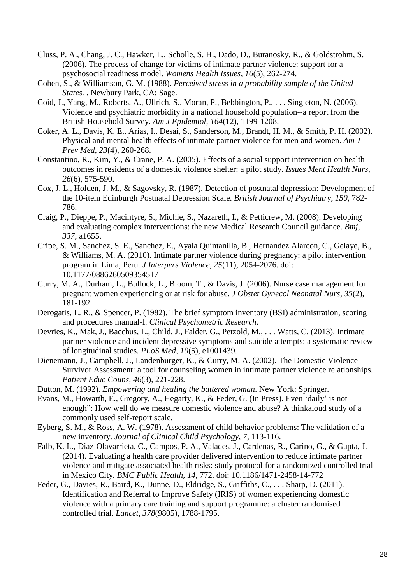- Cluss, P. A., Chang, J. C., Hawker, L., Scholle, S. H., Dado, D., Buranosky, R., & Goldstrohm, S. (2006). The process of change for victims of intimate partner violence: support for a psychosocial readiness model. *Womens Health Issues, 16*(5), 262-274.
- Cohen, S., & Williamson, G. M. (1988). *Perceived stress in a probability sample of the United States.* . Newbury Park, CA: Sage.
- Coid, J., Yang, M., Roberts, A., Ullrich, S., Moran, P., Bebbington, P., . . . Singleton, N. (2006). Violence and psychiatric morbidity in a national household population--a report from the British Household Survey. *Am J Epidemiol, 164*(12), 1199-1208.
- Coker, A. L., Davis, K. E., Arias, I., Desai, S., Sanderson, M., Brandt, H. M., & Smith, P. H. (2002). Physical and mental health effects of intimate partner violence for men and women. *Am J Prev Med, 23*(4), 260-268.
- Constantino, R., Kim, Y., & Crane, P. A. (2005). Effects of a social support intervention on health outcomes in residents of a domestic violence shelter: a pilot study. *Issues Ment Health Nurs, 26*(6), 575-590.
- Cox, J. L., Holden, J. M., & Sagovsky, R. (1987). Detection of postnatal depression: Development of the 10-item Edinburgh Postnatal Depression Scale. *British Journal of Psychiatry, 150*, 782- 786.
- Craig, P., Dieppe, P., Macintyre, S., Michie, S., Nazareth, I., & Petticrew, M. (2008). Developing and evaluating complex interventions: the new Medical Research Council guidance. *Bmj, 337*, a1655.
- Cripe, S. M., Sanchez, S. E., Sanchez, E., Ayala Quintanilla, B., Hernandez Alarcon, C., Gelaye, B., & Williams, M. A. (2010). Intimate partner violence during pregnancy: a pilot intervention program in Lima, Peru. *J Interpers Violence, 25*(11), 2054-2076. doi: 10.1177/0886260509354517
- Curry, M. A., Durham, L., Bullock, L., Bloom, T., & Davis, J. (2006). Nurse case management for pregnant women experiencing or at risk for abuse. *J Obstet Gynecol Neonatal Nurs, 35*(2), 181-192.
- Derogatis, L. R., & Spencer, P. (1982). The brief symptom inventory (BSI) administration, scoring and procedures manual-I. *Clinical Psychometric Research*.
- Devries, K., Mak, J., Bacchus, L., Child, J., Falder, G., Petzold, M., . . . Watts, C. (2013). Intimate partner violence and incident depressive symptoms and suicide attempts: a systematic review of longitudinal studies. *PLoS Med, 10*(5), e1001439.
- Dienemann, J., Campbell, J., Landenburger, K., & Curry, M. A. (2002). The Domestic Violence Survivor Assessment: a tool for counseling women in intimate partner violence relationships. *Patient Educ Couns, 46*(3), 221-228.
- Dutton, M. (1992). *Empowering and healing the battered woman*. New York: Springer.
- Evans, M., Howarth, E., Gregory, A., Hegarty, K., & Feder, G. (In Press). Even 'daily' is not enough": How well do we measure domestic violence and abuse? A thinkaloud study of a commonly used self-report scale.
- Eyberg, S. M., & Ross, A. W. (1978). Assessment of child behavior problems: The validation of a new inventory. *Journal of Clinical Child Psychology, 7*, 113-116.
- Falb, K. L., Diaz-Olavarrieta, C., Campos, P. A., Valades, J., Cardenas, R., Carino, G., & Gupta, J. (2014). Evaluating a health care provider delivered intervention to reduce intimate partner violence and mitigate associated health risks: study protocol for a randomized controlled trial in Mexico City. *BMC Public Health, 14*, 772. doi: 10.1186/1471-2458-14-772
- Feder, G., Davies, R., Baird, K., Dunne, D., Eldridge, S., Griffiths, C., . . . Sharp, D. (2011). Identification and Referral to Improve Safety (IRIS) of women experiencing domestic violence with a primary care training and support programme: a cluster randomised controlled trial. *Lancet, 378*(9805), 1788-1795.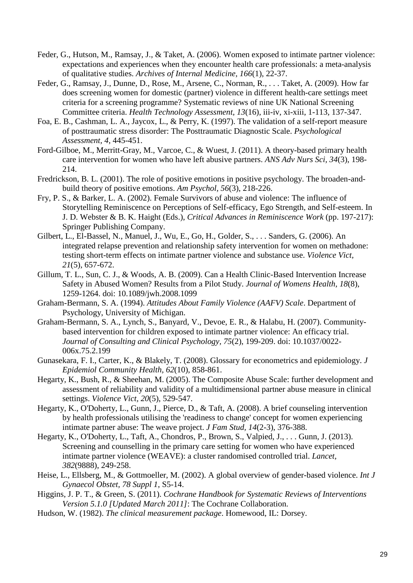- Feder, G., Hutson, M., Ramsay, J., & Taket, A. (2006). Women exposed to intimate partner violence: expectations and experiences when they encounter health care professionals: a meta-analysis of qualitative studies. *Archives of Internal Medicine, 166*(1), 22-37.
- Feder, G., Ramsay, J., Dunne, D., Rose, M., Arsene, C., Norman, R., . . . Taket, A. (2009). How far does screening women for domestic (partner) violence in different health-care settings meet criteria for a screening programme? Systematic reviews of nine UK National Screening Committee criteria. *Health Technology Assessment, 13*(16), iii-iv, xi-xiii, 1-113, 137-347.
- Foa, E. B., Cashman, L. A., Jaycox, L., & Perry, K. (1997). The validation of a self-report measure of posttraumatic stress disorder: The Posttraumatic Diagnostic Scale. *Psychological Assessment, 4*, 445-451.
- Ford-Gilboe, M., Merritt-Gray, M., Varcoe, C., & Wuest, J. (2011). A theory-based primary health care intervention for women who have left abusive partners. *ANS Adv Nurs Sci, 34*(3), 198- 214.
- Fredrickson, B. L. (2001). The role of positive emotions in positive psychology. The broaden-andbuild theory of positive emotions. *Am Psychol, 56*(3), 218-226.
- Fry, P. S., & Barker, L. A. (2002). Female Survivors of abuse and violence: The influence of Storytelling Reminiscence on Perceptions of Self-efficacy, Ego Strength, and Self-esteem. In J. D. Webster & B. K. Haight (Eds.), *Critical Advances in Reminiscence Work* (pp. 197-217): Springer Publishing Company.
- Gilbert, L., El-Bassel, N., Manuel, J., Wu, E., Go, H., Golder, S., . . . Sanders, G. (2006). An integrated relapse prevention and relationship safety intervention for women on methadone: testing short-term effects on intimate partner violence and substance use. *Violence Vict, 21*(5), 657-672.
- Gillum, T. L., Sun, C. J., & Woods, A. B. (2009). Can a Health Clinic-Based Intervention Increase Safety in Abused Women? Results from a Pilot Study. *Journal of Womens Health, 18*(8), 1259-1264. doi: 10.1089/jwh.2008.1099
- Graham-Bermann, S. A. (1994). *Attitudes About Family Violence (AAFV) Scale*. Department of Psychology, University of Michigan.
- Graham-Bermann, S. A., Lynch, S., Banyard, V., Devoe, E. R., & Halabu, H. (2007). Communitybased intervention for children exposed to intimate partner violence: An efficacy trial. *Journal of Consulting and Clinical Psychology, 75*(2), 199-209. doi: 10.1037/0022- 006x.75.2.199
- Gunasekara, F. I., Carter, K., & Blakely, T. (2008). Glossary for econometrics and epidemiology. *J Epidemiol Community Health, 62*(10), 858-861.
- Hegarty, K., Bush, R., & Sheehan, M. (2005). The Composite Abuse Scale: further development and assessment of reliability and validity of a multidimensional partner abuse measure in clinical settings. *Violence Vict, 20*(5), 529-547.
- Hegarty, K., O'Doherty, L., Gunn, J., Pierce, D., & Taft, A. (2008). A brief counseling intervention by health professionals utilising the 'readiness to change' concept for women experiencing intimate partner abuse: The weave project. *J Fam Stud, 14*(2-3), 376-388.
- Hegarty, K., O'Doherty, L., Taft, A., Chondros, P., Brown, S., Valpied, J., . . . Gunn, J. (2013). Screening and counselling in the primary care setting for women who have experienced intimate partner violence (WEAVE): a cluster randomised controlled trial. *Lancet, 382*(9888), 249-258.
- Heise, L., Ellsberg, M., & Gottmoeller, M. (2002). A global overview of gender-based violence. *Int J Gynaecol Obstet, 78 Suppl 1*, S5-14.
- Higgins, J. P. T., & Green, S. (2011). *Cochrane Handbook for Systematic Reviews of Interventions Version 5.1.0 [Updated March 2011]*: The Cochrane Collaboration.
- Hudson, W. (1982). *The clinical measurement package*. Homewood, IL: Dorsey.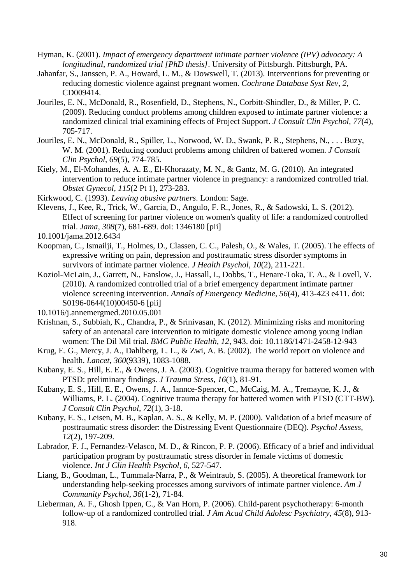- Hyman, K. (2001). *Impact of emergency department intimate partner violence (IPV) advocacy: A longitudinal, randomized trial [PhD thesis]*. University of Pittsburgh. Pittsburgh, PA.
- Jahanfar, S., Janssen, P. A., Howard, L. M., & Dowswell, T. (2013). Interventions for preventing or reducing domestic violence against pregnant women. *Cochrane Database Syst Rev, 2*, CD009414.
- Jouriles, E. N., McDonald, R., Rosenfield, D., Stephens, N., Corbitt-Shindler, D., & Miller, P. C. (2009). Reducing conduct problems among children exposed to intimate partner violence: a randomized clinical trial examining effects of Project Support. *J Consult Clin Psychol, 77*(4), 705-717.
- Jouriles, E. N., McDonald, R., Spiller, L., Norwood, W. D., Swank, P. R., Stephens, N., . . . Buzy, W. M. (2001). Reducing conduct problems among children of battered women. *J Consult Clin Psychol, 69*(5), 774-785.
- Kiely, M., El-Mohandes, A. A. E., El-Khorazaty, M. N., & Gantz, M. G. (2010). An integrated intervention to reduce intimate partner violence in pregnancy: a randomized controlled trial. *Obstet Gynecol, 115*(2 Pt 1), 273-283.
- Kirkwood, C. (1993). *Leaving abusive partners*. London: Sage.
- Klevens, J., Kee, R., Trick, W., Garcia, D., Angulo, F. R., Jones, R., & Sadowski, L. S. (2012). Effect of screening for partner violence on women's quality of life: a randomized controlled trial. *Jama, 308*(7), 681-689. doi: 1346180 [pii]
- 10.1001/jama.2012.6434
- Koopman, C., Ismailji, T., Holmes, D., Classen, C. C., Palesh, O., & Wales, T. (2005). The effects of expressive writing on pain, depression and posttraumatic stress disorder symptoms in survivors of intimate partner violence. *J Health Psychol, 10*(2), 211-221.
- Koziol-McLain, J., Garrett, N., Fanslow, J., Hassall, I., Dobbs, T., Henare-Toka, T. A., & Lovell, V. (2010). A randomized controlled trial of a brief emergency department intimate partner violence screening intervention. *Annals of Emergency Medicine, 56*(4), 413-423 e411. doi: S0196-0644(10)00450-6 [pii]
- 10.1016/j.annemergmed.2010.05.001
- Krishnan, S., Subbiah, K., Chandra, P., & Srinivasan, K. (2012). Minimizing risks and monitoring safety of an antenatal care intervention to mitigate domestic violence among young Indian women: The Dil Mil trial. *BMC Public Health, 12*, 943. doi: 10.1186/1471-2458-12-943
- Krug, E. G., Mercy, J. A., Dahlberg, L. L., & Zwi, A. B. (2002). The world report on violence and health. *Lancet, 360*(9339), 1083-1088.
- Kubany, E. S., Hill, E. E., & Owens, J. A. (2003). Cognitive trauma therapy for battered women with PTSD: preliminary findings. *J Trauma Stress, 16*(1), 81-91.
- Kubany, E. S., Hill, E. E., Owens, J. A., Iannce-Spencer, C., McCaig, M. A., Tremayne, K. J., & Williams, P. L. (2004). Cognitive trauma therapy for battered women with PTSD (CTT-BW). *J Consult Clin Psychol, 72*(1), 3-18.
- Kubany, E. S., Leisen, M. B., Kaplan, A. S., & Kelly, M. P. (2000). Validation of a brief measure of posttraumatic stress disorder: the Distressing Event Questionnaire (DEQ). *Psychol Assess, 12*(2), 197-209.
- Labrador, F. J., Fernandez-Velasco, M. D., & Rincon, P. P. (2006). Efficacy of a brief and individual participation program by posttraumatic stress disorder in female victims of domestic violence. *Int J Clin Health Psychol, 6*, 527-547.
- Liang, B., Goodman, L., Tummala-Narra, P., & Weintraub, S. (2005). A theoretical framework for understanding help-seeking processes among survivors of intimate partner violence. *Am J Community Psychol, 36*(1-2), 71-84.
- Lieberman, A. F., Ghosh Ippen, C., & Van Horn, P. (2006). Child-parent psychotherapy: 6-month follow-up of a randomized controlled trial. *J Am Acad Child Adolesc Psychiatry, 45*(8), 913- 918.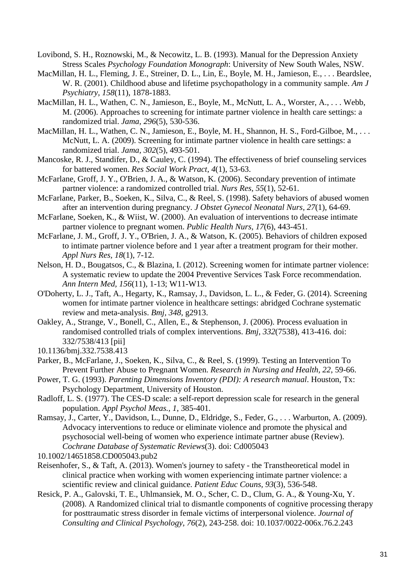- Lovibond, S. H., Roznowski, M., & Necowitz, L. B. (1993). Manual for the Depression Anxiety Stress Scales *Psychology Foundation Monograph*: University of New South Wales, NSW.
- MacMillan, H. L., Fleming, J. E., Streiner, D. L., Lin, E., Boyle, M. H., Jamieson, E., . . . Beardslee, W. R. (2001). Childhood abuse and lifetime psychopathology in a community sample. *Am J Psychiatry, 158*(11), 1878-1883.
- MacMillan, H. L., Wathen, C. N., Jamieson, E., Boyle, M., McNutt, L. A., Worster, A., . . . Webb, M. (2006). Approaches to screening for intimate partner violence in health care settings: a randomized trial. *Jama, 296*(5), 530-536.
- MacMillan, H. L., Wathen, C. N., Jamieson, E., Boyle, M. H., Shannon, H. S., Ford-Gilboe, M., . . . McNutt, L. A. (2009). Screening for intimate partner violence in health care settings: a randomized trial. *Jama, 302*(5), 493-501.
- Mancoske, R. J., Standifer, D., & Cauley, C. (1994). The effectiveness of brief counseling services for battered women. *Res Social Work Pract, 4*(1), 53-63.
- McFarlane, Groff, J. Y., O'Brien, J. A., & Watson, K. (2006). Secondary prevention of intimate partner violence: a randomized controlled trial. *Nurs Res, 55*(1), 52-61.
- McFarlane, Parker, B., Soeken, K., Silva, C., & Reel, S. (1998). Safety behaviors of abused women after an intervention during pregnancy. *J Obstet Gynecol Neonatal Nurs, 27*(1), 64-69.
- McFarlane, Soeken, K., & Wiist, W. (2000). An evaluation of interventions to decrease intimate partner violence to pregnant women. *Public Health Nurs, 17*(6), 443-451.
- McFarlane, J. M., Groff, J. Y., O'Brien, J. A., & Watson, K. (2005). Behaviors of children exposed to intimate partner violence before and 1 year after a treatment program for their mother. *Appl Nurs Res, 18*(1), 7-12.
- Nelson, H. D., Bougatsos, C., & Blazina, I. (2012). Screening women for intimate partner violence: A systematic review to update the 2004 Preventive Services Task Force recommendation. *Ann Intern Med, 156*(11), 1-13; W11-W13.
- O'Doherty, L. J., Taft, A., Hegarty, K., Ramsay, J., Davidson, L. L., & Feder, G. (2014). Screening women for intimate partner violence in healthcare settings: abridged Cochrane systematic review and meta-analysis. *Bmj, 348*, g2913.
- Oakley, A., Strange, V., Bonell, C., Allen, E., & Stephenson, J. (2006). Process evaluation in randomised controlled trials of complex interventions. *Bmj, 332*(7538), 413-416. doi: 332/7538/413 [pii]
- 10.1136/bmj.332.7538.413
- Parker, B., McFarlane, J., Soeken, K., Silva, C., & Reel, S. (1999). Testing an Intervention To Prevent Further Abuse to Pregnant Women. *Research in Nursing and Health, 22*, 59-66.
- Power, T. G. (1993). *Parenting Dimensions Inventory (PDI): A research manual*. Houston, Tx: Psychology Department, University of Houston.
- Radloff, L. S. (1977). The CES-D scale: a self-report depression scale for research in the general population. *Appl Psychol Meas., 1*, 385-401.
- Ramsay, J., Carter, Y., Davidson, L., Dunne, D., Eldridge, S., Feder, G., . . . Warburton, A. (2009). Advocacy interventions to reduce or eliminate violence and promote the physical and psychosocial well-being of women who experience intimate partner abuse (Review). *Cochrane Database of Systematic Reviews*(3). doi: Cd005043
- 10.1002/14651858.CD005043.pub2
- Reisenhofer, S., & Taft, A. (2013). Women's journey to safety the Transtheoretical model in clinical practice when working with women experiencing intimate partner violence: a scientific review and clinical guidance. *Patient Educ Couns, 93*(3), 536-548.
- Resick, P. A., Galovski, T. E., Uhlmansiek, M. O., Scher, C. D., Clum, G. A., & Young-Xu, Y. (2008). A Randomized clinical trial to dismantle components of cognitive processing therapy for posttraumatic stress disorder in female victims of interpersonal violence. *Journal of Consulting and Clinical Psychology, 76*(2), 243-258. doi: 10.1037/0022-006x.76.2.243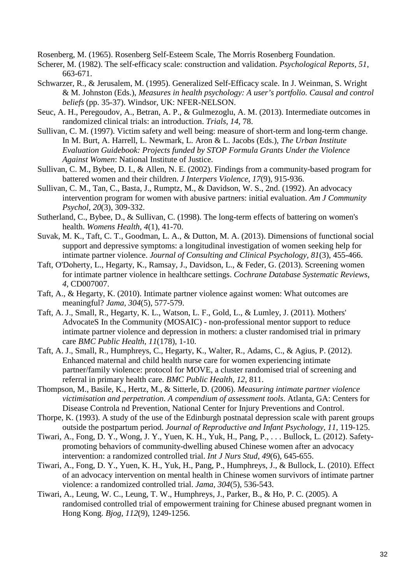Rosenberg, M. (1965). Rosenberg Self-Esteem Scale, The Morris Rosenberg Foundation.

- Scherer, M. (1982). The self-efficacy scale: construction and validation. *Psychological Reports, 51*, 663-671.
- Schwarzer, R., & Jerusalem, M. (1995). Generalized Self-Efficacy scale. In J. Weinman, S. Wright & M. Johnston (Eds.), *Measures in health psychology: A user's portfolio. Causal and control beliefs* (pp. 35-37). Windsor, UK: NFER-NELSON.
- Seuc, A. H., Peregoudov, A., Betran, A. P., & Gulmezoglu, A. M. (2013). Intermediate outcomes in randomized clinical trials: an introduction. *Trials, 14*, 78.
- Sullivan, C. M. (1997). Victim safety and well being: measure of short-term and long-term change. In M. Burt, A. Harrell, L. Newmark, L. Aron & L. Jacobs (Eds.), *The Urban Institute Evaluation Guidebook: Projects funded by STOP Formula Grants Under the Violence Against Women*: National Institute of Justice.
- Sullivan, C. M., Bybee, D. I., & Allen, N. E. (2002). Findings from a community-based program for battered women and their children. *J Interpers Violence, 17*(9), 915-936.
- Sullivan, C. M., Tan, C., Basta, J., Rumptz, M., & Davidson, W. S., 2nd. (1992). An advocacy intervention program for women with abusive partners: initial evaluation. *Am J Community Psychol, 20*(3), 309-332.
- Sutherland, C., Bybee, D., & Sullivan, C. (1998). The long-term effects of battering on women's health. *Womens Health, 4*(1), 41-70.
- Suvak, M. K., Taft, C. T., Goodman, L. A., & Dutton, M. A. (2013). Dimensions of functional social support and depressive symptoms: a longitudinal investigation of women seeking help for intimate partner violence. *Journal of Consulting and Clinical Psychology, 81*(3), 455-466.
- Taft, O'Doherty, L., Hegarty, K., Ramsay, J., Davidson, L., & Feder, G. (2013). Screening women for intimate partner violence in healthcare settings. *Cochrane Database Systematic Reviews, 4*, CD007007.
- Taft, A., & Hegarty, K. (2010). Intimate partner violence against women: What outcomes are meaningful? *Jama, 304*(5), 577-579.
- Taft, A. J., Small, R., Hegarty, K. L., Watson, L. F., Gold, L., & Lumley, J. (2011). Mothers' AdvocateS In the Community (MOSAIC) - non-professional mentor support to reduce intimate partner violence and depression in mothers: a cluster randomised trial in primary care *BMC Public Health, 11*(178), 1-10.
- Taft, A. J., Small, R., Humphreys, C., Hegarty, K., Walter, R., Adams, C., & Agius, P. (2012). Enhanced maternal and child health nurse care for women experiencing intimate partner/family violence: protocol for MOVE, a cluster randomised trial of screening and referral in primary health care. *BMC Public Health, 12*, 811.
- Thompson, M., Basile, K., Hertz, M., & Sitterle, D. (2006). *Measuring intimate partner violence victimisation and perpetration. A compendium of assessment tools*. Atlanta, GA: Centers for Disease Controla nd Prevention, National Center for Injury Preventions and Control.
- Thorpe, K. (1993). A study of the use of the Edinburgh postnatal depression scale with parent groups outside the postpartum period. *Journal of Reproductive and Infant Psychology, 11*, 119-125.
- Tiwari, A., Fong, D. Y., Wong, J. Y., Yuen, K. H., Yuk, H., Pang, P., . . . Bullock, L. (2012). Safetypromoting behaviors of community-dwelling abused Chinese women after an advocacy intervention: a randomized controlled trial. *Int J Nurs Stud, 49*(6), 645-655.
- Tiwari, A., Fong, D. Y., Yuen, K. H., Yuk, H., Pang, P., Humphreys, J., & Bullock, L. (2010). Effect of an advocacy intervention on mental health in Chinese women survivors of intimate partner violence: a randomized controlled trial. *Jama, 304*(5), 536-543.
- Tiwari, A., Leung, W. C., Leung, T. W., Humphreys, J., Parker, B., & Ho, P. C. (2005). A randomised controlled trial of empowerment training for Chinese abused pregnant women in Hong Kong. *Bjog, 112*(9), 1249-1256.